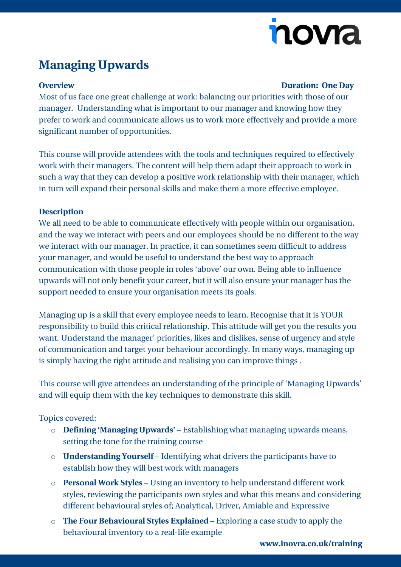# nova

## **Managing Upwards**

#### **Overview Duration: One Day**

Most of us face one great challenge at work: balancing our priorities with those of our manager. Understanding what is important to our manager and knowing how they prefer to work and communicate allows us to work more effectively and provide a more significant number of opportunities.

This course will provide attendees with the tools and techniques required to effectively work with their managers. The content will help them adapt their approach to work in such a way that they can develop a positive work relationship with their manager, which in turn will expand their personal skills and make them a more effective employee.

### **Description**

We all need to be able to communicate effectively with people within our organisation, and the way we interact with peers and our employees should be no different to the way we interact with our manager. In practice, it can sometimes seem difficult to address your manager, and would be useful to understand the best way to approach communication with those people in roles 'above' our own. Being able to influence upwards will not only benefit your career, but it will also ensure your manager has the support needed to ensure your organisation meets its goals.

Managing up is a skill that every employee needs to learn. Recognise that it is YOUR responsibility to build this critical relationship. This attitude will get you the results you want. Understand the manager' priorities, likes and dislikes, sense of urgency and style of communication and target your behaviour accordingly. In many ways, managing up is simply having the right attitude and realising you can improve things .

This course will give attendees an understanding of the principle of 'Managing Upwards' and will equip them with the key techniques to demonstrate this skill.

Topics covered:

- o **Defining 'Managing Upwards'** Establishing what managing upwards means, setting the tone for the training course
- o **Understanding Yourself** Identifying what drivers the participants have to establish how they will best work with managers
- o **Personal Work Styles** Using an inventory to help understand different work styles, reviewing the participants own styles and what this means and considering different behavioural styles of; Analytical, Driver, Amiable and Expressive
- o **The Four Behavioural Styles Explained** Exploring a case study to apply the behavioural inventory to a real-life example

**[www.inovra.co.uk/training](http://www.inovra.co.uk/training)**